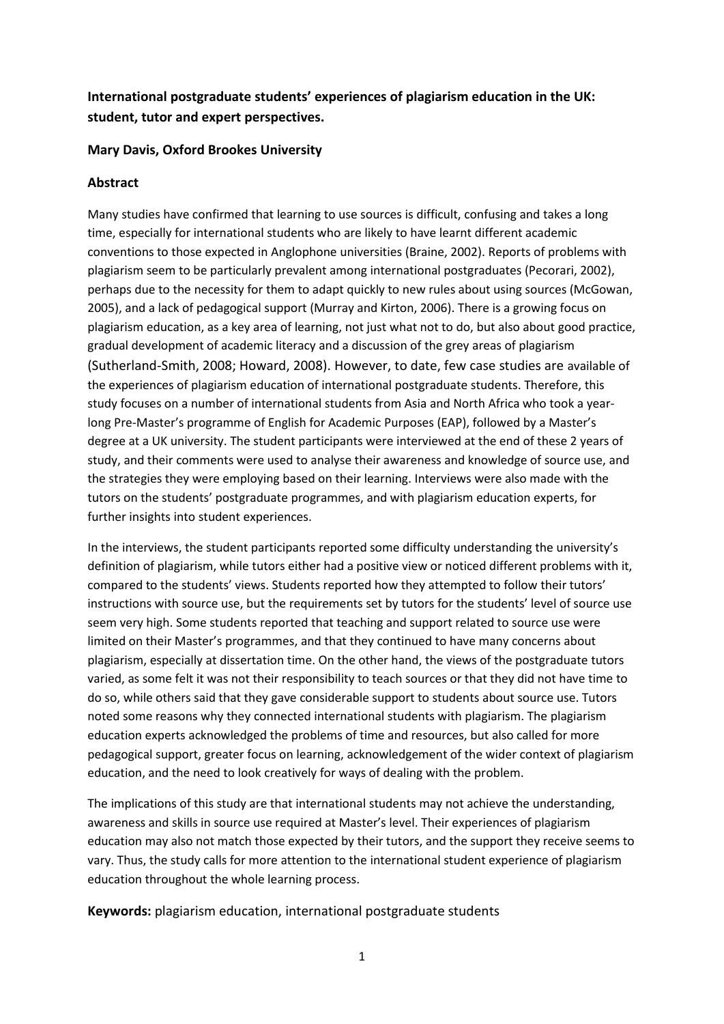# **International postgraduate students' experiences of plagiarism education in the UK: student, tutor and expert perspectives.**

#### **Mary Davis, Oxford Brookes University**

#### **Abstract**

Many studies have confirmed that learning to use sources is difficult, confusing and takes a long time, especially for international students who are likely to have learnt different academic conventions to those expected in Anglophone universities (Braine, 2002). Reports of problems with plagiarism seem to be particularly prevalent among international postgraduates (Pecorari, 2002), perhaps due to the necessity for them to adapt quickly to new rules about using sources (McGowan, 2005), and a lack of pedagogical support (Murray and Kirton, 2006). There is a growing focus on plagiarism education, as a key area of learning, not just what not to do, but also about good practice, gradual development of academic literacy and a discussion of the grey areas of plagiarism (Sutherland-Smith, 2008; Howard, 2008). However, to date, few case studies are available of the experiences of plagiarism education of international postgraduate students. Therefore, this study focuses on a number of international students from Asia and North Africa who took a yearlong Pre-Master's programme of English for Academic Purposes (EAP), followed by a Master's degree at a UK university. The student participants were interviewed at the end of these 2 years of study, and their comments were used to analyse their awareness and knowledge of source use, and the strategies they were employing based on their learning. Interviews were also made with the tutors on the students' postgraduate programmes, and with plagiarism education experts, for further insights into student experiences.

In the interviews, the student participants reported some difficulty understanding the university's definition of plagiarism, while tutors either had a positive view or noticed different problems with it, compared to the students' views. Students reported how they attempted to follow their tutors' instructions with source use, but the requirements set by tutors for the students' level of source use seem very high. Some students reported that teaching and support related to source use were limited on their Master's programmes, and that they continued to have many concerns about plagiarism, especially at dissertation time. On the other hand, the views of the postgraduate tutors varied, as some felt it was not their responsibility to teach sources or that they did not have time to do so, while others said that they gave considerable support to students about source use. Tutors noted some reasons why they connected international students with plagiarism. The plagiarism education experts acknowledged the problems of time and resources, but also called for more pedagogical support, greater focus on learning, acknowledgement of the wider context of plagiarism education, and the need to look creatively for ways of dealing with the problem.

The implications of this study are that international students may not achieve the understanding, awareness and skills in source use required at Master's level. Their experiences of plagiarism education may also not match those expected by their tutors, and the support they receive seems to vary. Thus, the study calls for more attention to the international student experience of plagiarism education throughout the whole learning process.

**Keywords:** plagiarism education, international postgraduate students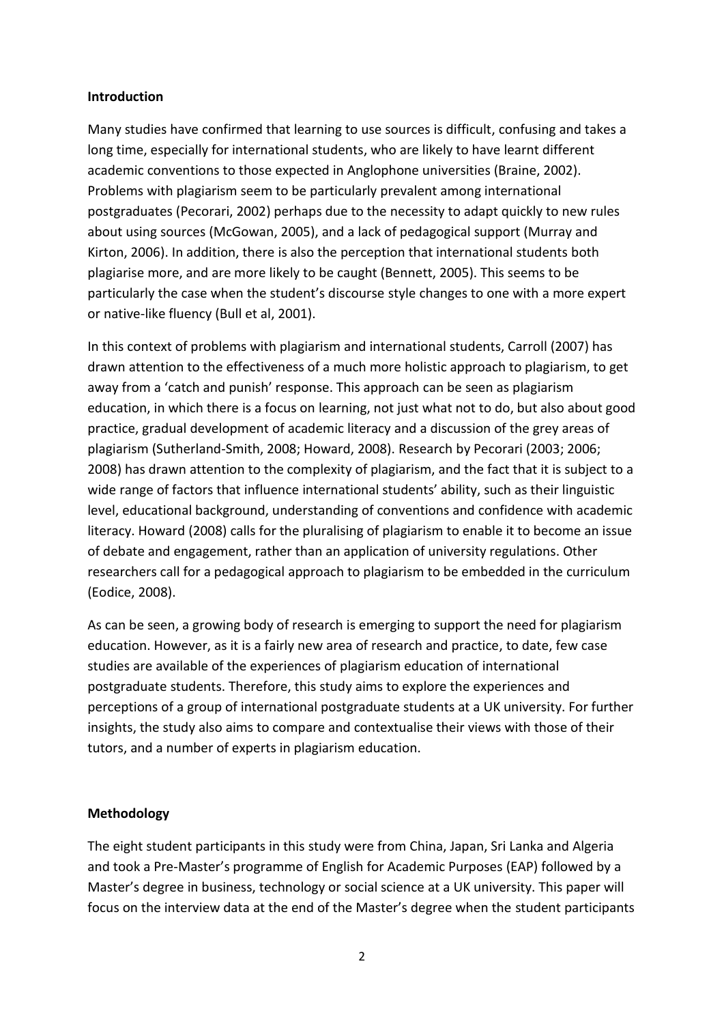#### **Introduction**

Many studies have confirmed that learning to use sources is difficult, confusing and takes a long time, especially for international students, who are likely to have learnt different academic conventions to those expected in Anglophone universities (Braine, 2002). Problems with plagiarism seem to be particularly prevalent among international postgraduates (Pecorari, 2002) perhaps due to the necessity to adapt quickly to new rules about using sources (McGowan, 2005), and a lack of pedagogical support (Murray and Kirton, 2006). In addition, there is also the perception that international students both plagiarise more, and are more likely to be caught (Bennett, 2005). This seems to be particularly the case when the student's discourse style changes to one with a more expert or native-like fluency (Bull et al, 2001).

In this context of problems with plagiarism and international students, Carroll (2007) has drawn attention to the effectiveness of a much more holistic approach to plagiarism, to get away from a 'catch and punish' response. This approach can be seen as plagiarism education, in which there is a focus on learning, not just what not to do, but also about good practice, gradual development of academic literacy and a discussion of the grey areas of plagiarism (Sutherland-Smith, 2008; Howard, 2008). Research by Pecorari (2003; 2006; 2008) has drawn attention to the complexity of plagiarism, and the fact that it is subject to a wide range of factors that influence international students' ability, such as their linguistic level, educational background, understanding of conventions and confidence with academic literacy. Howard (2008) calls for the pluralising of plagiarism to enable it to become an issue of debate and engagement, rather than an application of university regulations. Other researchers call for a pedagogical approach to plagiarism to be embedded in the curriculum (Eodice, 2008).

As can be seen, a growing body of research is emerging to support the need for plagiarism education. However, as it is a fairly new area of research and practice, to date, few case studies are available of the experiences of plagiarism education of international postgraduate students. Therefore, this study aims to explore the experiences and perceptions of a group of international postgraduate students at a UK university. For further insights, the study also aims to compare and contextualise their views with those of their tutors, and a number of experts in plagiarism education.

### **Methodology**

The eight student participants in this study were from China, Japan, Sri Lanka and Algeria and took a Pre-Master's programme of English for Academic Purposes (EAP) followed by a Master's degree in business, technology or social science at a UK university. This paper will focus on the interview data at the end of the Master's degree when the student participants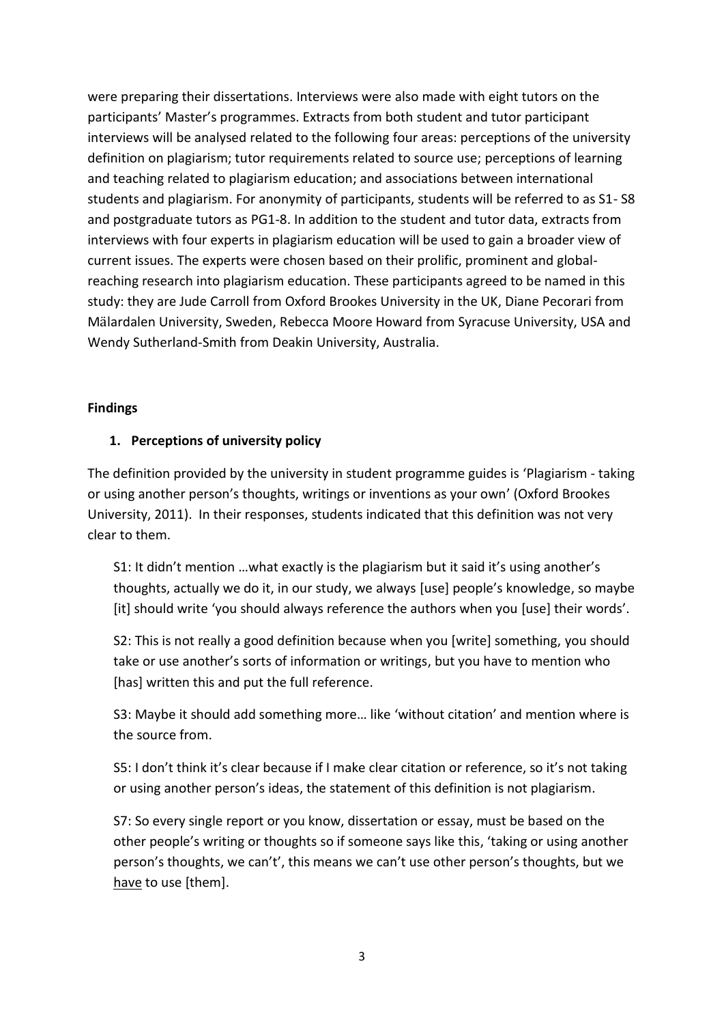were preparing their dissertations. Interviews were also made with eight tutors on the participants' Master's programmes. Extracts from both student and tutor participant interviews will be analysed related to the following four areas: perceptions of the university definition on plagiarism; tutor requirements related to source use; perceptions of learning and teaching related to plagiarism education; and associations between international students and plagiarism. For anonymity of participants, students will be referred to as S1- S8 and postgraduate tutors as PG1-8. In addition to the student and tutor data, extracts from interviews with four experts in plagiarism education will be used to gain a broader view of current issues. The experts were chosen based on their prolific, prominent and globalreaching research into plagiarism education. These participants agreed to be named in this study: they are Jude Carroll from Oxford Brookes University in the UK, Diane Pecorari from Mälardalen University, Sweden, Rebecca Moore Howard from Syracuse University, USA and Wendy Sutherland-Smith from Deakin University, Australia.

#### **Findings**

# **1. Perceptions of university policy**

The definition provided by the university in student programme guides is 'Plagiarism - taking or using another person's thoughts, writings or inventions as your own' (Oxford Brookes University, 2011). In their responses, students indicated that this definition was not very clear to them.

S1: It didn't mention …what exactly is the plagiarism but it said it's using another's thoughts, actually we do it, in our study, we always [use] people's knowledge, so maybe [it] should write 'you should always reference the authors when you [use] their words'.

S2: This is not really a good definition because when you [write] something, you should take or use another's sorts of information or writings, but you have to mention who [has] written this and put the full reference.

S3: Maybe it should add something more… like 'without citation' and mention where is the source from.

S5: I don't think it's clear because if I make clear citation or reference, so it's not taking or using another person's ideas, the statement of this definition is not plagiarism.

S7: So every single report or you know, dissertation or essay, must be based on the other people's writing or thoughts so if someone says like this, 'taking or using another person's thoughts, we can't', this means we can't use other person's thoughts, but we have to use [them].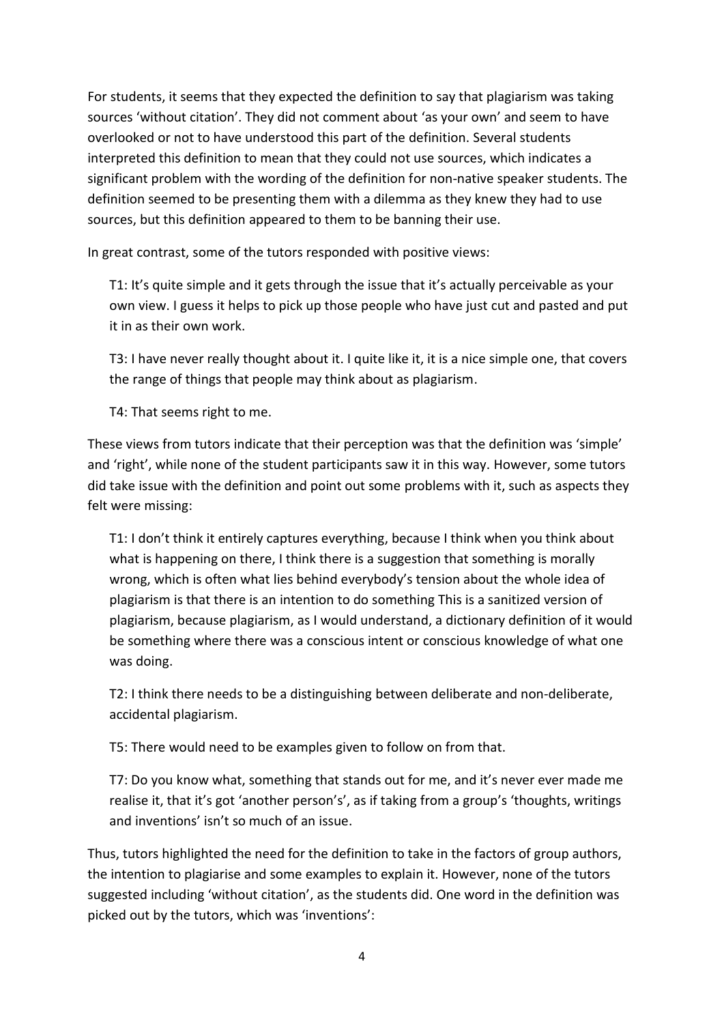For students, it seems that they expected the definition to say that plagiarism was taking sources 'without citation'. They did not comment about 'as your own' and seem to have overlooked or not to have understood this part of the definition. Several students interpreted this definition to mean that they could not use sources, which indicates a significant problem with the wording of the definition for non-native speaker students. The definition seemed to be presenting them with a dilemma as they knew they had to use sources, but this definition appeared to them to be banning their use.

In great contrast, some of the tutors responded with positive views:

T1: It's quite simple and it gets through the issue that it's actually perceivable as your own view. I guess it helps to pick up those people who have just cut and pasted and put it in as their own work.

T3: I have never really thought about it. I quite like it, it is a nice simple one, that covers the range of things that people may think about as plagiarism.

T4: That seems right to me.

These views from tutors indicate that their perception was that the definition was 'simple' and 'right', while none of the student participants saw it in this way. However, some tutors did take issue with the definition and point out some problems with it, such as aspects they felt were missing:

T1: I don't think it entirely captures everything, because I think when you think about what is happening on there, I think there is a suggestion that something is morally wrong, which is often what lies behind everybody's tension about the whole idea of plagiarism is that there is an intention to do something This is a sanitized version of plagiarism, because plagiarism, as I would understand, a dictionary definition of it would be something where there was a conscious intent or conscious knowledge of what one was doing.

T2: I think there needs to be a distinguishing between deliberate and non-deliberate, accidental plagiarism.

T5: There would need to be examples given to follow on from that.

T7: Do you know what, something that stands out for me, and it's never ever made me realise it, that it's got 'another person's', as if taking from a group's 'thoughts, writings and inventions' isn't so much of an issue.

Thus, tutors highlighted the need for the definition to take in the factors of group authors, the intention to plagiarise and some examples to explain it. However, none of the tutors suggested including 'without citation', as the students did. One word in the definition was picked out by the tutors, which was 'inventions':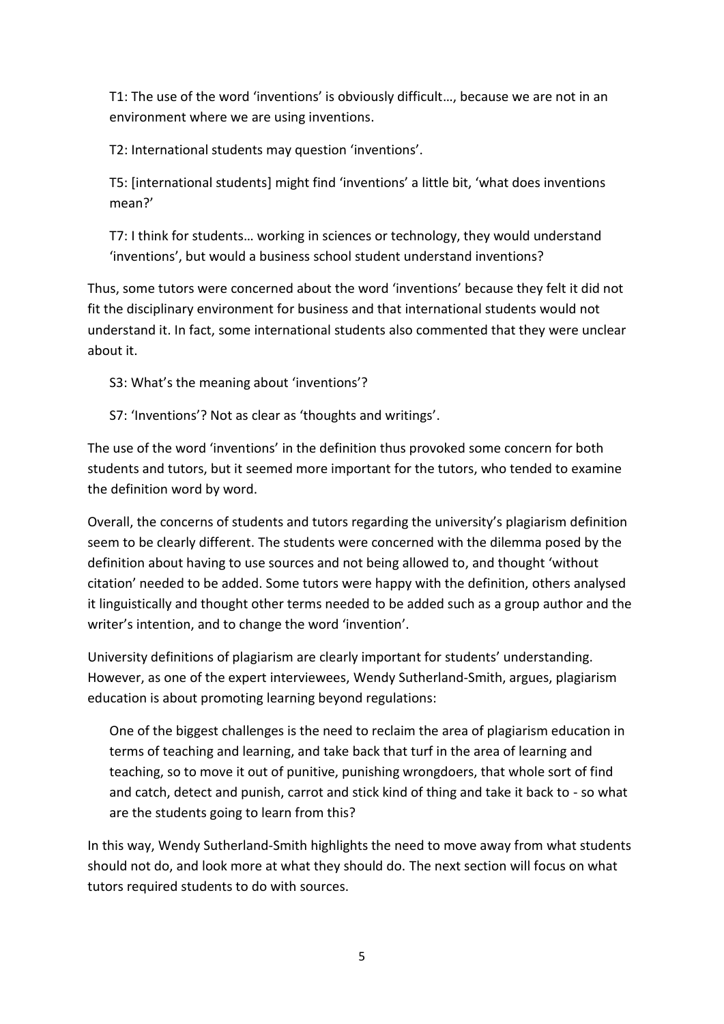T1: The use of the word 'inventions' is obviously difficult…, because we are not in an environment where we are using inventions.

T2: International students may question 'inventions'.

T5: [international students] might find 'inventions' a little bit, 'what does inventions mean?'

T7: I think for students… working in sciences or technology, they would understand 'inventions', but would a business school student understand inventions?

Thus, some tutors were concerned about the word 'inventions' because they felt it did not fit the disciplinary environment for business and that international students would not understand it. In fact, some international students also commented that they were unclear about it.

S3: What's the meaning about 'inventions'?

S7: 'Inventions'? Not as clear as 'thoughts and writings'.

The use of the word 'inventions' in the definition thus provoked some concern for both students and tutors, but it seemed more important for the tutors, who tended to examine the definition word by word.

Overall, the concerns of students and tutors regarding the university's plagiarism definition seem to be clearly different. The students were concerned with the dilemma posed by the definition about having to use sources and not being allowed to, and thought 'without citation' needed to be added. Some tutors were happy with the definition, others analysed it linguistically and thought other terms needed to be added such as a group author and the writer's intention, and to change the word 'invention'.

University definitions of plagiarism are clearly important for students' understanding. However, as one of the expert interviewees, Wendy Sutherland-Smith, argues, plagiarism education is about promoting learning beyond regulations:

One of the biggest challenges is the need to reclaim the area of plagiarism education in terms of teaching and learning, and take back that turf in the area of learning and teaching, so to move it out of punitive, punishing wrongdoers, that whole sort of find and catch, detect and punish, carrot and stick kind of thing and take it back to - so what are the students going to learn from this?

In this way, Wendy Sutherland-Smith highlights the need to move away from what students should not do, and look more at what they should do. The next section will focus on what tutors required students to do with sources.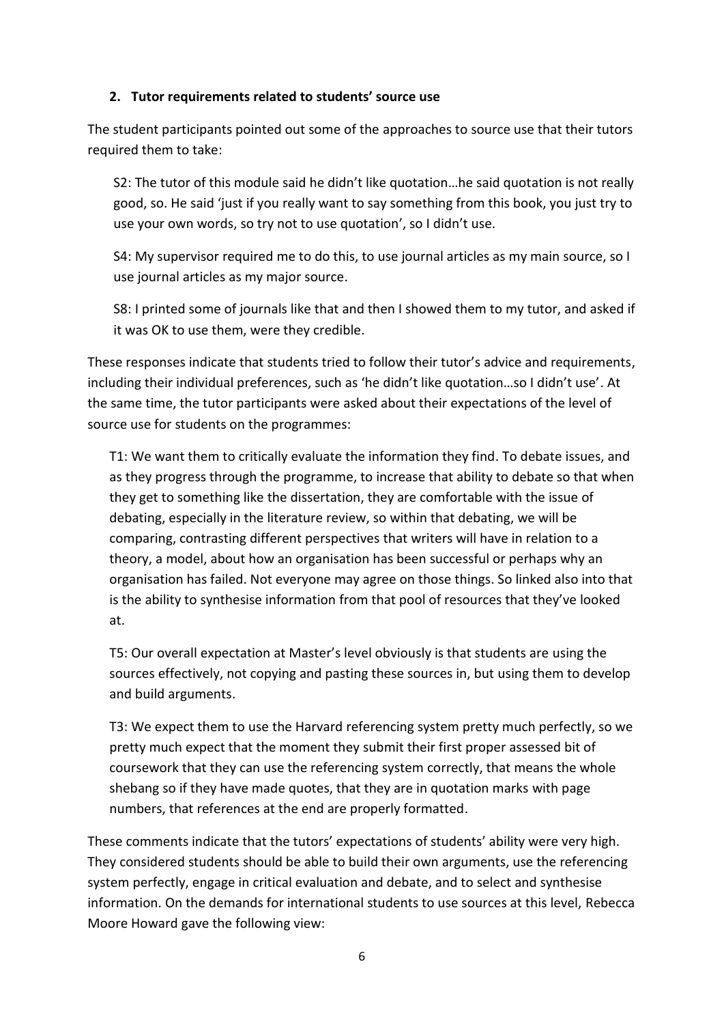#### **2. Tutor requirements related to students' source use**

The student participants pointed out some of the approaches to source use that their tutors required them to take:

S2: The tutor of this module said he didn't like quotation…he said quotation is not really good, so. He said 'just if you really want to say something from this book, you just try to use your own words, so try not to use quotation', so I didn't use.

S4: My supervisor required me to do this, to use journal articles as my main source, so I use journal articles as my major source.

S8: I printed some of journals like that and then I showed them to my tutor, and asked if it was OK to use them, were they credible.

These responses indicate that students tried to follow their tutor's advice and requirements, including their individual preferences, such as 'he didn't like quotation…so I didn't use'. At the same time, the tutor participants were asked about their expectations of the level of source use for students on the programmes:

T1: We want them to critically evaluate the information they find. To debate issues, and as they progress through the programme, to increase that ability to debate so that when they get to something like the dissertation, they are comfortable with the issue of debating, especially in the literature review, so within that debating, we will be comparing, contrasting different perspectives that writers will have in relation to a theory, a model, about how an organisation has been successful or perhaps why an organisation has failed. Not everyone may agree on those things. So linked also into that is the ability to synthesise information from that pool of resources that they've looked at.

T5: Our overall expectation at Master's level obviously is that students are using the sources effectively, not copying and pasting these sources in, but using them to develop and build arguments.

T3: We expect them to use the Harvard referencing system pretty much perfectly, so we pretty much expect that the moment they submit their first proper assessed bit of coursework that they can use the referencing system correctly, that means the whole shebang so if they have made quotes, that they are in quotation marks with page numbers, that references at the end are properly formatted.

These comments indicate that the tutors' expectations of students' ability were very high. They considered students should be able to build their own arguments, use the referencing system perfectly, engage in critical evaluation and debate, and to select and synthesise information. On the demands for international students to use sources at this level, Rebecca Moore Howard gave the following view: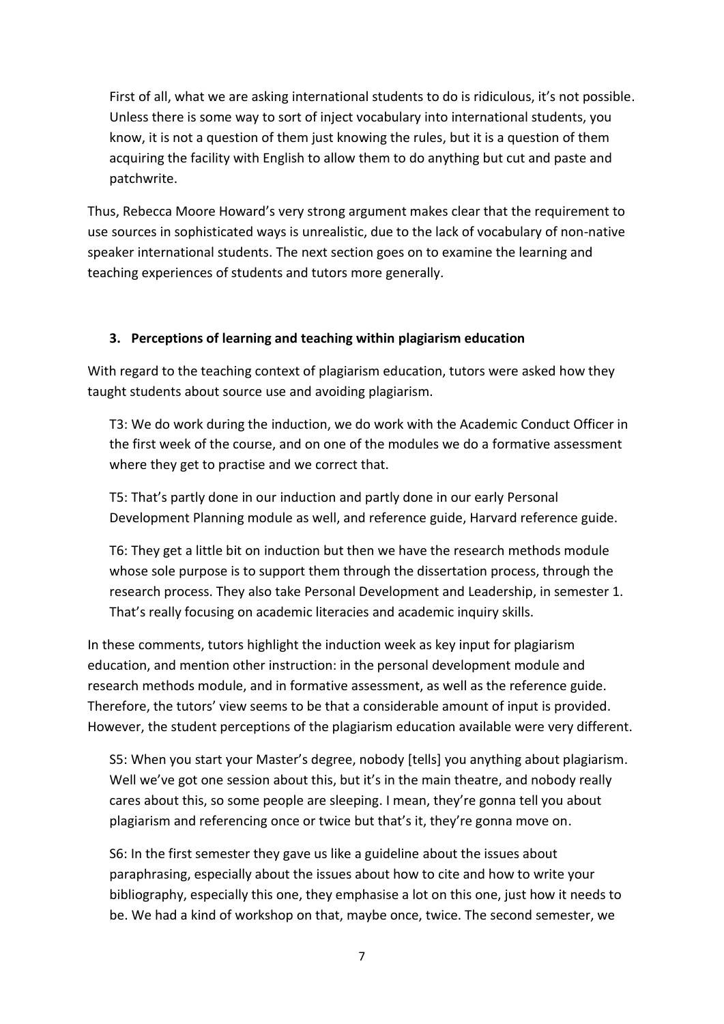First of all, what we are asking international students to do is ridiculous, it's not possible. Unless there is some way to sort of inject vocabulary into international students, you know, it is not a question of them just knowing the rules, but it is a question of them acquiring the facility with English to allow them to do anything but cut and paste and patchwrite.

Thus, Rebecca Moore Howard's very strong argument makes clear that the requirement to use sources in sophisticated ways is unrealistic, due to the lack of vocabulary of non-native speaker international students. The next section goes on to examine the learning and teaching experiences of students and tutors more generally.

### **3. Perceptions of learning and teaching within plagiarism education**

With regard to the teaching context of plagiarism education, tutors were asked how they taught students about source use and avoiding plagiarism.

T3: We do work during the induction, we do work with the Academic Conduct Officer in the first week of the course, and on one of the modules we do a formative assessment where they get to practise and we correct that.

T5: That's partly done in our induction and partly done in our early Personal Development Planning module as well, and reference guide, Harvard reference guide.

T6: They get a little bit on induction but then we have the research methods module whose sole purpose is to support them through the dissertation process, through the research process. They also take Personal Development and Leadership, in semester 1. That's really focusing on academic literacies and academic inquiry skills.

In these comments, tutors highlight the induction week as key input for plagiarism education, and mention other instruction: in the personal development module and research methods module, and in formative assessment, as well as the reference guide. Therefore, the tutors' view seems to be that a considerable amount of input is provided. However, the student perceptions of the plagiarism education available were very different.

S5: When you start your Master's degree, nobody [tells] you anything about plagiarism. Well we've got one session about this, but it's in the main theatre, and nobody really cares about this, so some people are sleeping. I mean, they're gonna tell you about plagiarism and referencing once or twice but that's it, they're gonna move on.

S6: In the first semester they gave us like a guideline about the issues about paraphrasing, especially about the issues about how to cite and how to write your bibliography, especially this one, they emphasise a lot on this one, just how it needs to be. We had a kind of workshop on that, maybe once, twice. The second semester, we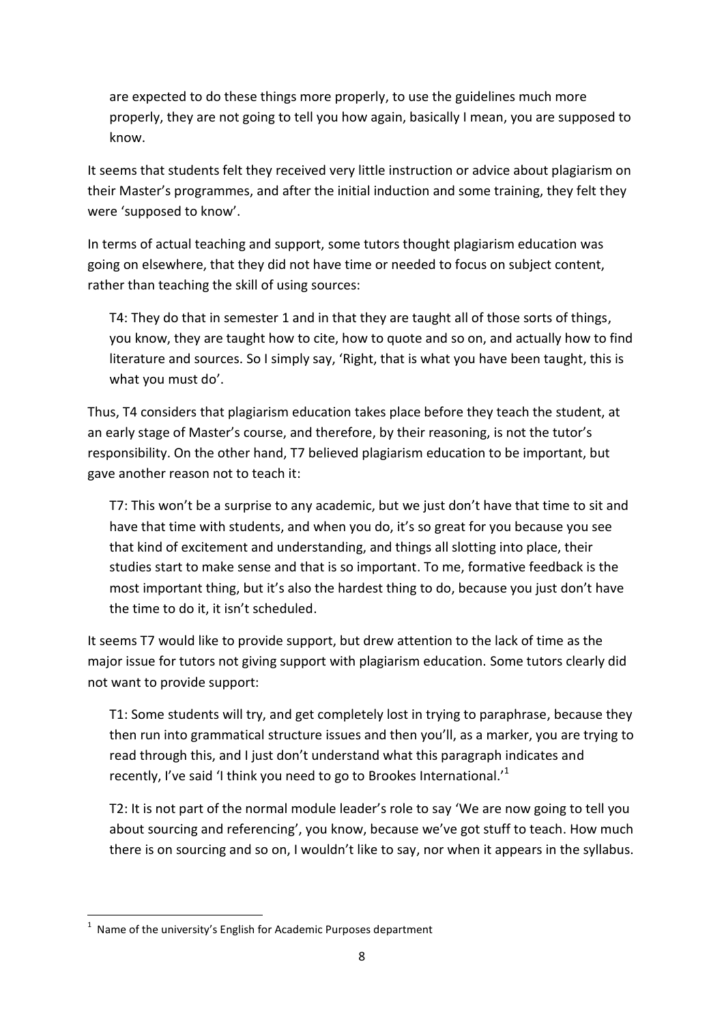are expected to do these things more properly, to use the guidelines much more properly, they are not going to tell you how again, basically I mean, you are supposed to know.

It seems that students felt they received very little instruction or advice about plagiarism on their Master's programmes, and after the initial induction and some training, they felt they were 'supposed to know'.

In terms of actual teaching and support, some tutors thought plagiarism education was going on elsewhere, that they did not have time or needed to focus on subject content, rather than teaching the skill of using sources:

T4: They do that in semester 1 and in that they are taught all of those sorts of things, you know, they are taught how to cite, how to quote and so on, and actually how to find literature and sources. So I simply say, 'Right, that is what you have been taught, this is what you must do'.

Thus, T4 considers that plagiarism education takes place before they teach the student, at an early stage of Master's course, and therefore, by their reasoning, is not the tutor's responsibility. On the other hand, T7 believed plagiarism education to be important, but gave another reason not to teach it:

T7: This won't be a surprise to any academic, but we just don't have that time to sit and have that time with students, and when you do, it's so great for you because you see that kind of excitement and understanding, and things all slotting into place, their studies start to make sense and that is so important. To me, formative feedback is the most important thing, but it's also the hardest thing to do, because you just don't have the time to do it, it isn't scheduled.

It seems T7 would like to provide support, but drew attention to the lack of time as the major issue for tutors not giving support with plagiarism education. Some tutors clearly did not want to provide support:

T1: Some students will try, and get completely lost in trying to paraphrase, because they then run into grammatical structure issues and then you'll, as a marker, you are trying to read through this, and I just don't understand what this paragraph indicates and recently, I've said 'I think you need to go to Brookes International.<sup>1</sup>

T2: It is not part of the normal module leader's role to say 'We are now going to tell you about sourcing and referencing', you know, because we've got stuff to teach. How much there is on sourcing and so on, I wouldn't like to say, nor when it appears in the syllabus.

**<sup>.</sup>**  $1$  Name of the university's English for Academic Purposes department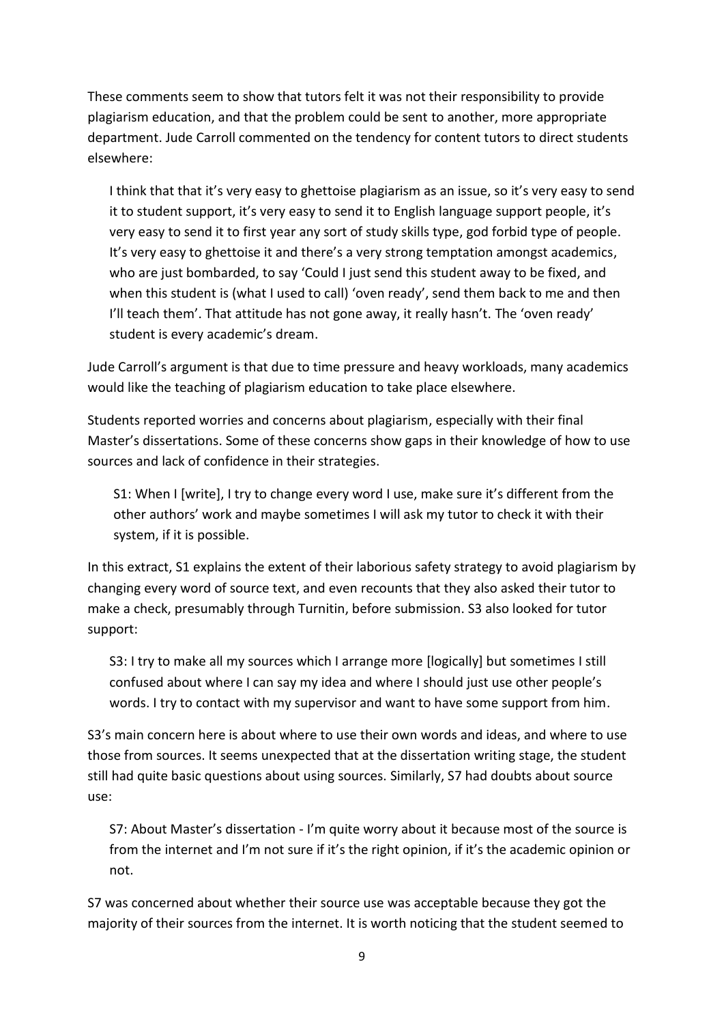These comments seem to show that tutors felt it was not their responsibility to provide plagiarism education, and that the problem could be sent to another, more appropriate department. Jude Carroll commented on the tendency for content tutors to direct students elsewhere:

I think that that it's very easy to ghettoise plagiarism as an issue, so it's very easy to send it to student support, it's very easy to send it to English language support people, it's very easy to send it to first year any sort of study skills type, god forbid type of people. It's very easy to ghettoise it and there's a very strong temptation amongst academics, who are just bombarded, to say 'Could I just send this student away to be fixed, and when this student is (what I used to call) 'oven ready', send them back to me and then I'll teach them'. That attitude has not gone away, it really hasn't. The 'oven ready' student is every academic's dream.

Jude Carroll's argument is that due to time pressure and heavy workloads, many academics would like the teaching of plagiarism education to take place elsewhere.

Students reported worries and concerns about plagiarism, especially with their final Master's dissertations. Some of these concerns show gaps in their knowledge of how to use sources and lack of confidence in their strategies.

S1: When I [write], I try to change every word I use, make sure it's different from the other authors' work and maybe sometimes I will ask my tutor to check it with their system, if it is possible.

In this extract, S1 explains the extent of their laborious safety strategy to avoid plagiarism by changing every word of source text, and even recounts that they also asked their tutor to make a check, presumably through Turnitin, before submission. S3 also looked for tutor support:

S3: I try to make all my sources which I arrange more [logically] but sometimes I still confused about where I can say my idea and where I should just use other people's words. I try to contact with my supervisor and want to have some support from him.

S3's main concern here is about where to use their own words and ideas, and where to use those from sources. It seems unexpected that at the dissertation writing stage, the student still had quite basic questions about using sources. Similarly, S7 had doubts about source use:

S7: About Master's dissertation - I'm quite worry about it because most of the source is from the internet and I'm not sure if it's the right opinion, if it's the academic opinion or not.

S7 was concerned about whether their source use was acceptable because they got the majority of their sources from the internet. It is worth noticing that the student seemed to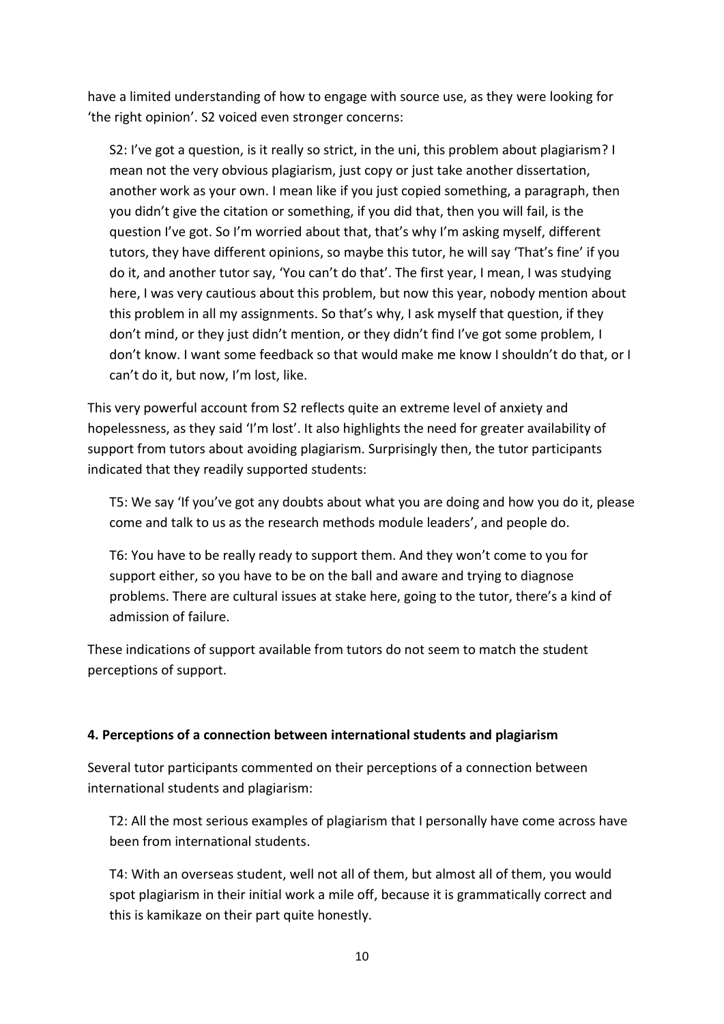have a limited understanding of how to engage with source use, as they were looking for 'the right opinion'. S2 voiced even stronger concerns:

S2: I've got a question, is it really so strict, in the uni, this problem about plagiarism? I mean not the very obvious plagiarism, just copy or just take another dissertation, another work as your own. I mean like if you just copied something, a paragraph, then you didn't give the citation or something, if you did that, then you will fail, is the question I've got. So I'm worried about that, that's why I'm asking myself, different tutors, they have different opinions, so maybe this tutor, he will say 'That's fine' if you do it, and another tutor say, 'You can't do that'. The first year, I mean, I was studying here, I was very cautious about this problem, but now this year, nobody mention about this problem in all my assignments. So that's why, I ask myself that question, if they don't mind, or they just didn't mention, or they didn't find I've got some problem, I don't know. I want some feedback so that would make me know I shouldn't do that, or I can't do it, but now, I'm lost, like.

This very powerful account from S2 reflects quite an extreme level of anxiety and hopelessness, as they said 'I'm lost'. It also highlights the need for greater availability of support from tutors about avoiding plagiarism. Surprisingly then, the tutor participants indicated that they readily supported students:

T5: We say 'If you've got any doubts about what you are doing and how you do it, please come and talk to us as the research methods module leaders', and people do.

T6: You have to be really ready to support them. And they won't come to you for support either, so you have to be on the ball and aware and trying to diagnose problems. There are cultural issues at stake here, going to the tutor, there's a kind of admission of failure.

These indications of support available from tutors do not seem to match the student perceptions of support.

### **4. Perceptions of a connection between international students and plagiarism**

Several tutor participants commented on their perceptions of a connection between international students and plagiarism:

T2: All the most serious examples of plagiarism that I personally have come across have been from international students.

T4: With an overseas student, well not all of them, but almost all of them, you would spot plagiarism in their initial work a mile off, because it is grammatically correct and this is kamikaze on their part quite honestly.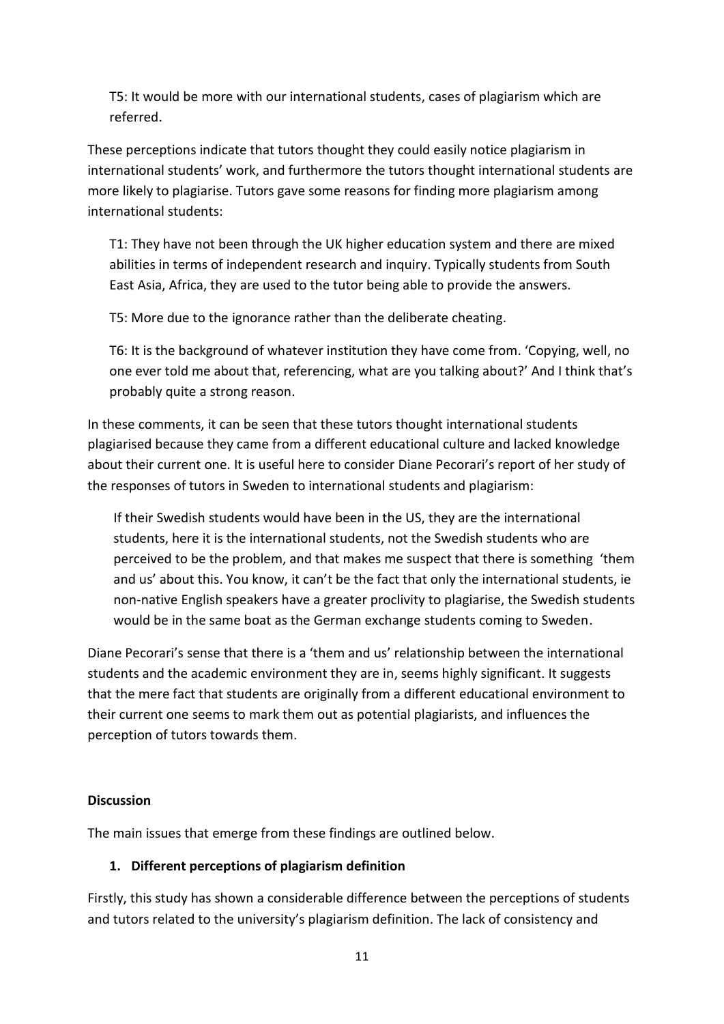T5: It would be more with our international students, cases of plagiarism which are referred.

These perceptions indicate that tutors thought they could easily notice plagiarism in international students' work, and furthermore the tutors thought international students are more likely to plagiarise. Tutors gave some reasons for finding more plagiarism among international students:

T1: They have not been through the UK higher education system and there are mixed abilities in terms of independent research and inquiry. Typically students from South East Asia, Africa, they are used to the tutor being able to provide the answers.

T5: More due to the ignorance rather than the deliberate cheating.

T6: It is the background of whatever institution they have come from. 'Copying, well, no one ever told me about that, referencing, what are you talking about?' And I think that's probably quite a strong reason.

In these comments, it can be seen that these tutors thought international students plagiarised because they came from a different educational culture and lacked knowledge about their current one. It is useful here to consider Diane Pecorari's report of her study of the responses of tutors in Sweden to international students and plagiarism:

If their Swedish students would have been in the US, they are the international students, here it is the international students, not the Swedish students who are perceived to be the problem, and that makes me suspect that there is something 'them and us' about this. You know, it can't be the fact that only the international students, ie non-native English speakers have a greater proclivity to plagiarise, the Swedish students would be in the same boat as the German exchange students coming to Sweden.

Diane Pecorari's sense that there is a 'them and us' relationship between the international students and the academic environment they are in, seems highly significant. It suggests that the mere fact that students are originally from a different educational environment to their current one seems to mark them out as potential plagiarists, and influences the perception of tutors towards them.

### **Discussion**

The main issues that emerge from these findings are outlined below.

# **1. Different perceptions of plagiarism definition**

Firstly, this study has shown a considerable difference between the perceptions of students and tutors related to the university's plagiarism definition. The lack of consistency and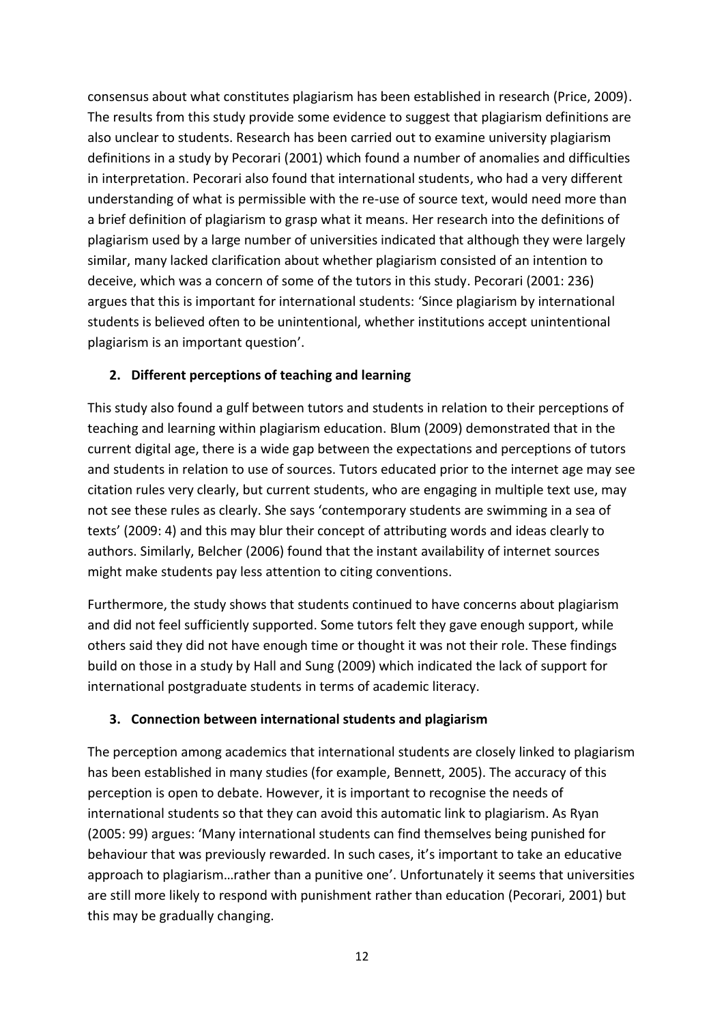consensus about what constitutes plagiarism has been established in research (Price, 2009). The results from this study provide some evidence to suggest that plagiarism definitions are also unclear to students. Research has been carried out to examine university plagiarism definitions in a study by Pecorari (2001) which found a number of anomalies and difficulties in interpretation. Pecorari also found that international students, who had a very different understanding of what is permissible with the re-use of source text, would need more than a brief definition of plagiarism to grasp what it means. Her research into the definitions of plagiarism used by a large number of universities indicated that although they were largely similar, many lacked clarification about whether plagiarism consisted of an intention to deceive, which was a concern of some of the tutors in this study. Pecorari (2001: 236) argues that this is important for international students: 'Since plagiarism by international students is believed often to be unintentional, whether institutions accept unintentional plagiarism is an important question'.

# **2. Different perceptions of teaching and learning**

This study also found a gulf between tutors and students in relation to their perceptions of teaching and learning within plagiarism education. Blum (2009) demonstrated that in the current digital age, there is a wide gap between the expectations and perceptions of tutors and students in relation to use of sources. Tutors educated prior to the internet age may see citation rules very clearly, but current students, who are engaging in multiple text use, may not see these rules as clearly. She says 'contemporary students are swimming in a sea of texts' (2009: 4) and this may blur their concept of attributing words and ideas clearly to authors. Similarly, Belcher (2006) found that the instant availability of internet sources might make students pay less attention to citing conventions.

Furthermore, the study shows that students continued to have concerns about plagiarism and did not feel sufficiently supported. Some tutors felt they gave enough support, while others said they did not have enough time or thought it was not their role. These findings build on those in a study by Hall and Sung (2009) which indicated the lack of support for international postgraduate students in terms of academic literacy.

### **3. Connection between international students and plagiarism**

The perception among academics that international students are closely linked to plagiarism has been established in many studies (for example, Bennett, 2005). The accuracy of this perception is open to debate. However, it is important to recognise the needs of international students so that they can avoid this automatic link to plagiarism. As Ryan (2005: 99) argues: 'Many international students can find themselves being punished for behaviour that was previously rewarded. In such cases, it's important to take an educative approach to plagiarism…rather than a punitive one'. Unfortunately it seems that universities are still more likely to respond with punishment rather than education (Pecorari, 2001) but this may be gradually changing.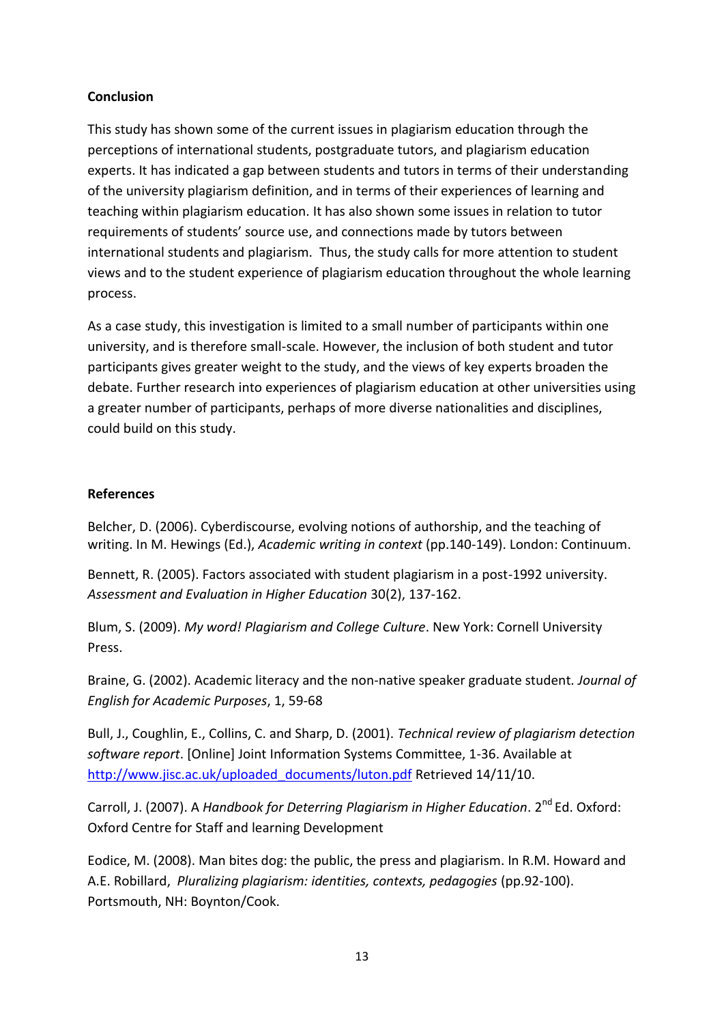### **Conclusion**

This study has shown some of the current issues in plagiarism education through the perceptions of international students, postgraduate tutors, and plagiarism education experts. It has indicated a gap between students and tutors in terms of their understanding of the university plagiarism definition, and in terms of their experiences of learning and teaching within plagiarism education. It has also shown some issues in relation to tutor requirements of students' source use, and connections made by tutors between international students and plagiarism. Thus, the study calls for more attention to student views and to the student experience of plagiarism education throughout the whole learning process.

As a case study, this investigation is limited to a small number of participants within one university, and is therefore small-scale. However, the inclusion of both student and tutor participants gives greater weight to the study, and the views of key experts broaden the debate. Further research into experiences of plagiarism education at other universities using a greater number of participants, perhaps of more diverse nationalities and disciplines, could build on this study.

### **References**

Belcher, D. (2006). Cyberdiscourse, evolving notions of authorship, and the teaching of writing. In M. Hewings (Ed.), *Academic writing in context* (pp.140-149). London: Continuum.

Bennett, R. (2005). Factors associated with student plagiarism in a post-1992 university. *Assessment and Evaluation in Higher Education* 30(2), 137-162.

Blum, S. (2009). *My word! Plagiarism and College Culture*. New York: Cornell University Press.

Braine, G. (2002). Academic literacy and the non-native speaker graduate student*. Journal of English for Academic Purposes*, 1, 59-68

Bull, J., Coughlin, E., Collins, C. and Sharp, D. (2001). *Technical review of plagiarism detection software report*. [Online] Joint Information Systems Committee, 1-36. Available at [http://www.jisc.ac.uk/uploaded\\_documents/luton.pdf](http://www.jisc.ac.uk/uploaded_documents/luton.pdf) Retrieved 14/11/10.

Carroll, J. (2007). A *Handbook for Deterring Plagiarism in Higher Education*. 2<sup>nd</sup> Ed. Oxford: Oxford Centre for Staff and learning Development

Eodice, M. (2008). Man bites dog: the public, the press and plagiarism. In R.M. Howard and A.E. Robillard, *Pluralizing plagiarism: identities, contexts, pedagogies* (pp.92-100). Portsmouth, NH: Boynton/Cook.